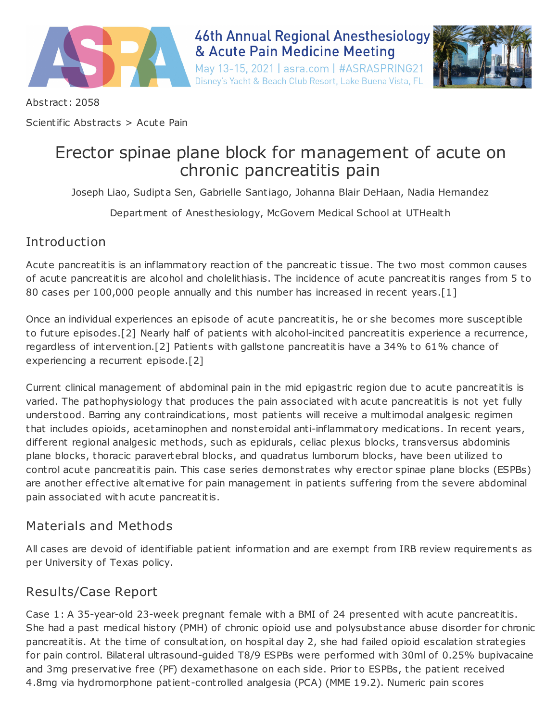

# **46th Annual Regional Anesthesiology** & Acute Pain Medicine Meeting

May 13-15, 2021 | asra.com | #ASRASPRING21 Disney's Yacht & Beach Club Resort, Lake Buena Vista, FL



Abst ract: 2058

Scientific Abstracts > Acute Pain

# Erector spinae plane block for management of acute on chronic pancreatitis pain

Joseph Liao, Sudipta Sen, Gabrielle Santiago, Johanna Blair DeHaan, Nadia Hernandez

Department of Anesthesiology, McGovern Medical School at UTHealth

### Introduction

Acute pancreatitis is an inflammatory reaction of the pancreatic tissue. The two most common causes of acute pancreatitis are alcohol and cholelithiasis. The incidence of acute pancreatitis ranges from 5 to 80 cases per 100,000 people annually and this number has increased in recent years.[1]

Once an individual experiences an episode of acute pancreatitis, he or she becomes more susceptible to future episodes.[2] Nearly half of patients with alcohol-incited pancreatitis experience a recurrence, regardless of intervention.[2] Patients with gallstone pancreatitis have a 34% to 61% chance of experiencing a recurrent episode.[2]

Current clinical management of abdominal pain in the mid epigastric region due to acute pancreatitis is varied. The pathophysiology that produces the pain associated with acute pancreatitis is not yet fully understood. Barring any cont raindications, most patients will receive a multimodal analgesic regimen that includes opioids, acetaminophen and nonsteroidal anti-inflammatory medications. In recent years, different regional analgesic methods, such as epidurals, celiac plexus blocks, t ransversus abdominis plane blocks, thoracic paravertebral blocks, and quadratus lumborum blocks, have been utilized to cont rol acute pancreatitis pain. This case series demonst rates why erector spinae plane blocks (ESPBs) are another effective alternative for pain management in patients suffering from the severe abdominal pain associated with acute pancreatitis.

# Materials and Methods

All cases are devoid of identifiable patient information and are exempt from IRB review requirements as per University of Texas policy.

# Results/Case Report

Case 1: A 35-year-old 23-week pregnant female with a BMI of 24 presented with acute pancreatitis. She had a past medical history (PMH) of chronic opioid use and polysubstance abuse disorder for chronic pancreatitis. At the time of consultation, on hospital day 2, she had failed opioid escalation st rategies for pain cont rol. Bilateral ult rasound-guided T8/9 ESPBs were performed with 30ml of 0.25% bupivacaine and 3mg preservative free (PF) dexamethasone on each side. Prior to ESPBs, the patient received 4.8mg via hydromorphone patient-cont rolled analgesia (PCA) (MME 19.2). Numeric pain scores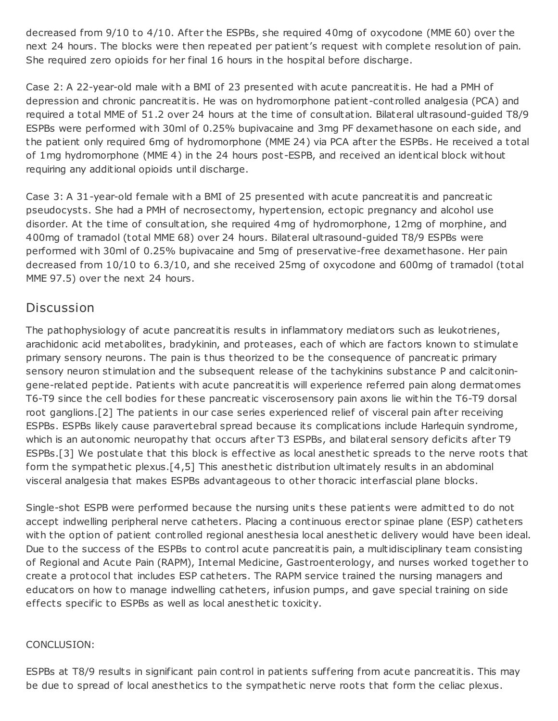decreased from 9/10 to 4/10. After the ESPBs, she required 40mg of oxycodone (MME 60) over the next 24 hours. The blocks were then repeated per patient's request with complete resolution of pain. She required zero opioids for her final 16 hours in the hospital before discharge.

Case 2: A 22-year-old male with a BMI of 23 presented with acute pancreatitis. He had a PMH of depression and chronic pancreatitis. He was on hydromorphone patient-cont rolled analgesia (PCA) and required a total MME of 51.2 over 24 hours at the time of consultation. Bilateral ult rasound-guided T8/9 ESPBs were performed with 30ml of 0.25% bupivacaine and 3mg PF dexamethasone on each side, and the patient only required 6mg of hydromorphone (MME 24) via PCA after the ESPBs. He received a total of 1mg hydromorphone (MME 4) in the 24 hours post-ESPB, and received an identical block without requiring any additional opioids until discharge.

Case 3: A 31-year-old female with a BMI of 25 presented with acute pancreatitis and pancreatic pseudocysts. She had a PMH of necrosectomy, hypertension, ectopic pregnancy and alcohol use disorder. At the time of consultation, she required 4mg of hydromorphone, 12mg of morphine, and 400mg of t ramadol (total MME 68) over 24 hours. Bilateral ult rasound-guided T8/9 ESPBs were performed with 30ml of 0.25% bupivacaine and 5mg of preservative-free dexamethasone. Her pain decreased from 10/10 to 6.3/10, and she received 25mg of oxycodone and 600mg of tramadol (total MME 97.5) over the next 24 hours.

#### **Discussion**

The pathophysiology of acute pancreatitis results in inflammatory mediators such as leukotrienes, arachidonic acid metabolites, bradykinin, and proteases, each of which are factors known to stimulate primary sensory neurons. The pain is thus theorized to be the consequence of pancreatic primary sensory neuron stimulation and the subsequent release of the tachykinins substance P and calcitoningene-related peptide. Patients with acute pancreatitis will experience referred pain along dermatomes T6-T9 since the cell bodies for these pancreatic viscerosensory pain axons lie within the T6-T9 dorsal root ganglions.[2] The patients in our case series experienced relief of visceral pain after receiving ESPBs. ESPBs likely cause paravertebral spread because its complications include Harlequin syndrome, which is an autonomic neuropathy that occurs after T3 ESPBs, and bilateral sensory deficits after T9 ESPBs.[3] We postulate that this block is effective as local anesthetic spreads to the nerve roots that form the sympathetic plexus.[4,5] This anesthetic dist ribution ultimately results in an abdominal visceral analgesia that makes ESPBs advantageous to other thoracic interfascial plane blocks.

Single-shot ESPB were performed because the nursing units these patients were admitted to do not accept indwelling peripheral nerve catheters. Placing a continuous erector spinae plane (ESP) catheters with the option of patient controlled regional anesthesia local anesthetic delivery would have been ideal. Due to the success of the ESPBs to cont rol acute pancreatitis pain, a multidisciplinary team consisting of Regional and Acute Pain (RAPM), Internal Medicine, Gast roenterology, and nurses worked together to create a protocol that includes ESP catheters. The RAPM service t rained the nursing managers and educators on how to manage indwelling catheters, infusion pumps, and gave special t raining on side effects specific to ESPBs as well as local anesthetic toxicity.

#### CONCLUSION:

ESPBs at T8/9 results in significant pain control in patients suffering from acute pancreatitis. This may be due to spread of local anesthetics to the sympathetic nerve roots that form the celiac plexus.